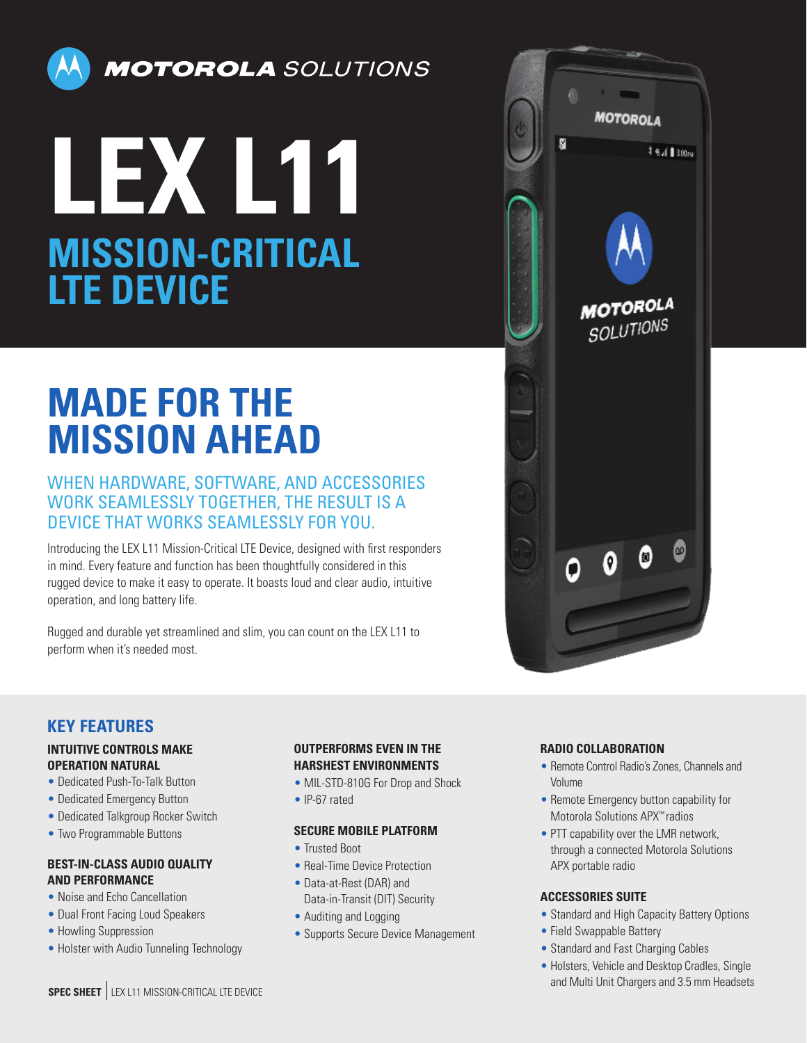

**MOTOROLA** SOLUTIONS

# **LEX L11 MISSION-CRITICAL LTE DEVICE**

# **MADE FOR THE MISSION AHEAD**

# WHEN HARDWARE, SOFTWARE, AND ACCESSORIES WORK SEAMLESSLY TOGETHER, THE RESULT IS A DEVICE THAT WORKS SEAMLESSLY FOR YOU.

Introducing the LEX L11 Mission-Critical LTE Device, designed with first responders in mind. Every feature and function has been thoughtfully considered in this rugged device to make it easy to operate. It boasts loud and clear audio, intuitive operation, and long battery life.

Rugged and durable yet streamlined and slim, you can count on the LEX L11 to perform when it's needed most.



# **KEY FEATURES**

#### **INTUITIVE CONTROLS MAKE OPERATION NATURAL**

- Dedicated Push-To-Talk Button
- Dedicated Emergency Button
- Dedicated Talkgroup Rocker Switch
- Two Programmable Buttons

#### **BEST-IN-CLASS AUDIO QUALITY AND PERFORMANCE**

- Noise and Echo Cancellation
- Dual Front Facing Loud Speakers
- Howling Suppression
- Holster with Audio Tunneling Technology

#### **OUTPERFORMS EVEN IN THE HARSHEST ENVIRONMENTS**

- MIL-STD-810G For Drop and Shock
- IP-67 rated

#### **SECURE MOBILE PLATFORM**

- Trusted Boot
- Real-Time Device Protection
- Data-at-Rest (DAR) and Data-in-Transit (DIT) Security
- Auditing and Logging
- Supports Secure Device Management

#### **RADIO COLLABORATION**

- Remote Control Radio's Zones, Channels and Volume
- Remote Emergency button capability for Motorola Solutions APX™ radios
- PTT capability over the LMR network, through a connected Motorola Solutions APX portable radio

#### **ACCESSORIES SUITE**

- Standard and High Capacity Battery Options
- Field Swappable Battery
- Standard and Fast Charging Cables
- Holsters, Vehicle and Desktop Cradles, Single and Multi Unit Chargers and 3.5 mm Headsets